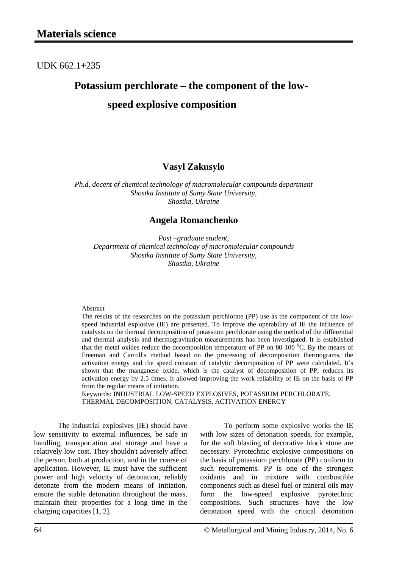### UDK 662.1+235

# **Potassium perchlorate – the component of the lowspeed explosive composition**

#### **Vasyl Zakusylo**

*Ph.d, docent of chemical technology of macromolecular compounds department Shostka Institute of Sumy State University, Shostka, Ukraine*

#### **Angela Romanchenko**

*Post –graduate student, Department of chemical technology of macromolecular compounds Shostka Institute of Sumy State University, Shostka, Ukraine*

#### Abstract

The results of the researches on the potassium perchlorate (PP) use as the component of the lowspeed industrial explosive (IE) are presented. To improve the operability of IE the influence of catalysts on the thermal decomposition of potassium perchlorate using the method of the differential and thermal analysis and thermogravitation measurements has been investigated. It is established that the metal oxides reduce the decomposition temperature of PP on 80-100  $^{\circ}$ C. By the means of Freeman and Carroll's method based on the processing of decomposition thermograms, the activation energy and the speed constant of catalytic decomposition of PP were calculated. It's shown that the manganese oxide, which is the catalyst of decomposition of PP, reduces its activation energy by 2.5 times. It allowed improving the work reliability of IE on the basis of PP from the regular means of initiation.

Keywords: INDUSTRIAL LOW-SPEED EXPLOSIVES, POTASSIUM PERCHLORATE, THERMAL DECOMPOSITION, CATALYSIS, ACTIVATION ENERGY

The industrial explosives (IE) should have low sensitivity to external influences, be safe in handling, transportation and storage and have a relatively low cost. They shouldn't adversely affect the person, both at production, and in the course of application. However, IE must have the sufficient power and high velocity of detonation, reliably detonate from the modern means of initiation, ensure the stable detonation throughout the mass, maintain their properties for a long time in the charging capacities [1, 2].

To perform some explosive works the IE with low sizes of detonation speeds, for example, for the soft blasting of decorative block stone are necessary. Pyrotechnic explosive compositions on the basis of potassium perchlorate (PP) conform to such requirements. PP is one of the strongest oxidants and in mixture with combustible components such as diesel fuel or mineral oils may form the low-speed explosive pyrotechnic compositions. Such structures have the low detonation speed with the critical detonation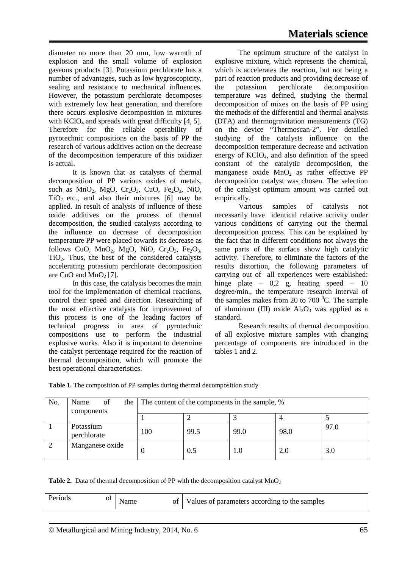diameter no more than 20 mm, low warmth of explosion and the small volume of explosion gaseous products [3]. Potassium perchlorate has a number of advantages, such as low hygroscopicity, sealing and resistance to mechanical influences. However, the potassium perchlorate decomposes with extremely low heat generation, and therefore there occurs explosive decomposition in mixtures with  $KClO<sub>4</sub>$  and spreads with great difficulty [4, 5]. Therefore for the reliable operability of pyrotechnic compositions on the basis of PP the research of various additives action on the decrease of the decomposition temperature of this oxidizer is actual.

It is known that as catalysts of thermal decomposition of PP various oxides of metals, such as  $MnO_2$ ,  $MgO$ ,  $Cr_2O_3$ ,  $CuO$ ,  $Fe_2O_3$ ,  $NiO$ ,  $TiO<sub>2</sub>$  etc., and also their mixtures [6] may be applied. In result of analysis of influence of these oxide additives on the process of thermal decomposition, the studied catalysts according to the influence on decrease of decomposition temperature PP were placed towards its decrease as follows CuO,  $MnO<sub>2</sub>$ , MgO, NiO, Cr<sub>2</sub>O<sub>3</sub>, Fe<sub>2</sub>O<sub>3</sub>, TiO2. Thus, the best of the considered catalysts accelerating potassium perchlorate decomposition are CuO and  $MnO<sub>2</sub>$  [7].

In this case, the catalysis becomes the main tool for the implementation of chemical reactions, control their speed and direction. Researching of the most effective catalysts for improvement of this process is one of the leading factors of technical progress in area of pyrotechnic compositions use to perform the industrial explosive works. Also it is important to determine the catalyst percentage required for the reaction of thermal decomposition, which will promote the best operational characteristics.

The optimum structure of the catalyst in explosive mixture, which represents the chemical, which is accelerates the reaction, but not being a part of reaction products and providing decrease of the potassium perchlorate decomposition temperature was defined, studying the thermal decomposition of mixes on the basis of PP using the methods of the differential and thermal analysis (DTA) and thermogravitation measurements (TG) on the device "Thermoscan-2". For detailed studying of the catalysts influence on the decomposition temperature decrease and activation energy of  $KClO<sub>4</sub>$ , and also definition of the speed constant of the catalytic decomposition, the manganese oxide  $MnO<sub>2</sub>$  as rather effective PP decomposition catalyst was chosen. The selection of the catalyst optimum amount was carried out empirically.

Various samples of catalysts not necessarily have identical relative activity under various conditions of carrying out the thermal decomposition process. This can be explained by the fact that in different conditions not always the same parts of the surface show high catalytic activity. Therefore, to eliminate the factors of the results distortion, the following parameters of carrying out of all experiences were established: hinge plate –  $0,2$  g, heating speed –  $10$ degree/min., the temperature research interval of the samples makes from 20 to 700 $\,^0$ C. The sample of aluminum (III) oxide  $Al_2O_3$  was applied as a standard.

Research results of thermal decomposition of all explosive mixture samples with changing percentage of components are introduced in the tables 1 and 2.

| No.            | of<br>Name<br>the<br>components | The content of the components in the sample, % |      |      |      |      |
|----------------|---------------------------------|------------------------------------------------|------|------|------|------|
|                |                                 |                                                |      |      |      |      |
|                | Potassium<br>perchlorate        | 100                                            | 99.5 | 99.0 | 98.0 | 97.0 |
| $\overline{2}$ | Manganese oxide                 |                                                | 0.5  | 1.0  | 2.0  | 3.0  |

Table 1. The composition of PP samples during thermal decomposition study

**Table 2.** Data of thermal decomposition of PP with the decomposition catalyst  $MnO<sub>2</sub>$ 

| Periods<br>ΟI<br>Values of parameters according to the samples<br>Οt |
|----------------------------------------------------------------------|
|----------------------------------------------------------------------|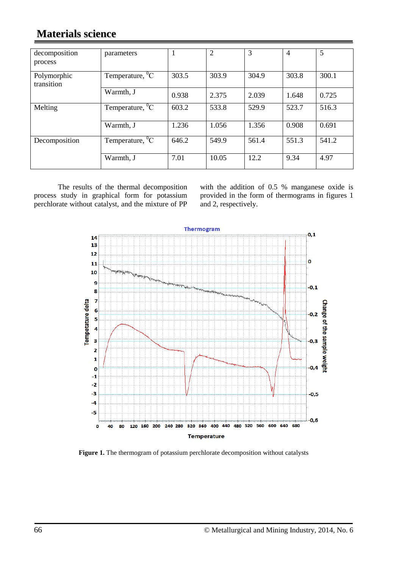## **Materials science**

| decomposition<br>process  | parameters             |       | $\overline{2}$ | 3     | $\overline{4}$ | 5     |
|---------------------------|------------------------|-------|----------------|-------|----------------|-------|
| Polymorphic<br>transition | Temperature, ${}^{0}C$ | 303.5 | 303.9          | 304.9 | 303.8          | 300.1 |
|                           | Warmth, J              | 0.938 | 2.375          | 2.039 | 1.648          | 0.725 |
| Melting                   | Temperature, ${}^{0}C$ | 603.2 | 533.8          | 529.9 | 523.7          | 516.3 |
|                           | Warmth, J              | 1.236 | 1.056          | 1.356 | 0.908          | 0.691 |
| Decomposition             | Temperature, $^0C$     | 646.2 | 549.9          | 561.4 | 551.3          | 541.2 |
|                           | Warmth, J              | 7.01  | 10.05          | 12.2  | 9.34           | 4.97  |

The results of the thermal decomposition process study in graphical form for potassium perchlorate without catalyst, and the mixture of PP

with the addition of 0.5 % manganese oxide is provided in the form of thermograms in figures 1 and 2, respectively.



**Figure 1.** The thermogram of potassium perchlorate decomposition without catalysts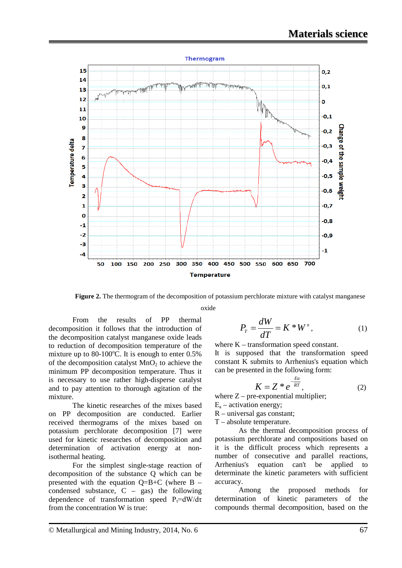

**Figure 2.** The thermogram of the decomposition of potassium perchlorate mixture with catalyst manganese

oxide

From the results of PP thermal decomposition it follows that the introduction of the decomposition catalyst manganese oxide leads to reduction of decomposition temperature of the mixture up to 80-100 $^{\circ}$ C. It is enough to enter 0.5% of the decomposition catalyst  $MnO<sub>2</sub>$  to achieve the minimum PP decomposition temperature. Thus it is necessary to use rather high-disperse catalyst and to pay attention to thorough agitation of the mixture.

The kinetic researches of the mixes based on PP decomposition are conducted. Earlier received thermograms of the mixes based on potassium perchlorate decomposition [7] were used for kinetic researches of decomposition and determination of activation energy at nonisothermal heating.

For the simplest single-stage reaction of decomposition of the substance Q which can be presented with the equation  $Q=B+C$  (where B – condensed substance,  $C - gas$ ) the following dependence of transformation speed  $P_{\tau} = dW/d\tau$ from the concentration W is true:

$$
P_{T} = \frac{dW}{dT} = K \cdot W^{n}, \qquad (1)
$$

where K – transformation speed constant.

It is supposed that the transformation speed constant K submits to Arrhenius's equation which can be presented in the following form:

$$
K = Z * e^{-\frac{Ea}{RT}}, \tag{2}
$$

where  $Z$  – pre-exponential multiplier;

- $E_a$  activation energy;
- R universal gas constant;
- Т absolute temperature.

As the thermal decomposition process of potassium perchlorate and compositions based on it is the difficult process which represents a number of consecutive and parallel reactions, Arrhenius's equation can't be applied to determinate the kinetic parameters with sufficient accuracy.

Among the proposed methods for determination of kinetic parameters of the compounds thermal decomposition, based on the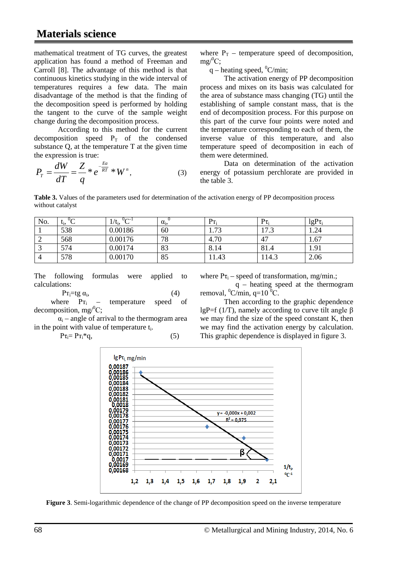mathematical treatment of TG curves, the greatest application has found a method of Freeman and Carroll [8]. The advantage of this method is that continuous kinetics studying in the wide interval of temperatures requires a few data. The main disadvantage of the method is that the finding of the decomposition speed is performed by holding the tangent to the curve of the sample weight change during the decomposition process.

According to this method for the current decomposition speed  $P_T$  of the condensed substance Q, at the temperature T at the given time the expression is true:

$$
P_{T} = \frac{dW}{dT} = \frac{Z}{q} * e^{-\frac{Ea}{RT}} * W^{n}, \qquad (3)
$$

where  $P_T$  – temperature speed of decomposition,  $mg/^0C;$ 

q – heating speed,  $^0$ C/min;

The activation energy of PP decomposition process and mixes on its basis was calculated for the area of substance mass changing (TG) until the establishing of sample constant mass, that is the end of decomposition process. For this purpose on this part of the curve four points were noted and the temperature corresponding to each of them, the inverse value of this temperature, and also temperature speed of decomposition in each of them were determined.

Data on determination of the activation energy of potassium perchlorate are provided in the table 3.

**Table 3.** Values of the parameters used for determination of the activation energy of PP decomposition process without catalyst

| No. | $\sim$<br>$t_i$<br>◡ | $U \cap \neg^{-1}$<br>$1/t_i$<br>◡ | $\alpha_i$ | $P_{T_i}$ | $P\tau_i$ | $lgP_{\tau_i}$ |
|-----|----------------------|------------------------------------|------------|-----------|-----------|----------------|
|     | 538                  | 0.00186                            | 60         | 1.73      | 17.3      | 1.24           |
| ∼   | 568                  | 0.00176                            | 78         | 4.70      | 47        | 1.67           |
|     | 574                  | 0.00174                            | 83         | 8.14      | 81.4      | 1.91           |
|     | 578                  | 0.00170                            | 85         | 11.43     | 14.3      | 2.06           |

The following formulas were applied to calculations:

Pr<sub>i</sub>=tg  $\alpha_i$ , (4)<br>ere Pr<sub>i</sub> – temperature speed where  $P_{T_i}$  – temperature speed of decomposition, mg $\text{C}$ ;

 $\alpha_i$  – angle of arrival to the thermogram area in the point with value of temperature  $t_i$ .

$$
P\tau_i = P\tau_i * q,\tag{5}
$$

where  $P\tau_i$  – speed of transformation, mg/min.;

 $q$  – heating speed at the thermogram removal,  $\mathrm{^0C/min}$ , q=10 $\mathrm{^0C}$ .

Then according to the graphic dependence lgP=f (1/T), namely according to curve tilt angle  $\beta$ we may find the size of the speed constant K, then we may find the activation energy by calculation. This graphic dependence is displayed in figure 3.



**Figure 3**. Semi-logarithmic dependence of the change of PP decomposition speed on the inverse temperature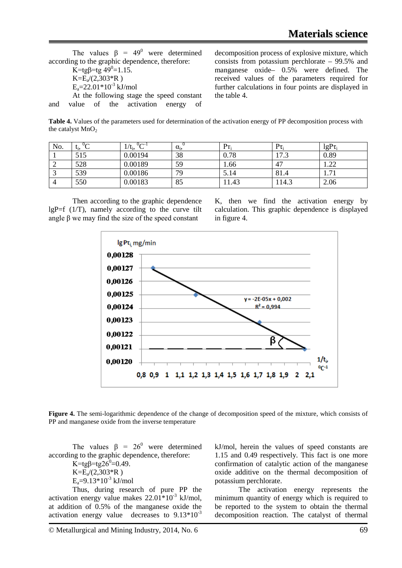The values  $\beta = 49^{\circ}$  were determined according to the graphic dependence, therefore:  $K = \text{tg}\beta = \text{tg}\,49^\circ = 1.15.$  $K=E<sub>a</sub>/(2,303*R)$  $E_a = 22.01*10^{-3}$  kJ/mol At the following stage the speed constant and value of the activation energy of

decomposition process of explosive mixture, which consists from potassium perchlorate – 99.5% and manganese oxide– 0.5% were defined. The received values of the parameters required for further calculations in four points are displayed in the table 4.

**Table 4.** Values of the parameters used for determination of the activation energy of PP decomposition process with the catalyst  $MnO<sub>2</sub>$ 

| No. | L <sub>i</sub> , | $0$ $\sim$ -1<br>$1/t_i$ | $\alpha_i$ | $P_{T_i}$ | $P\tau_i$    | $lgP\tau_i$           |
|-----|------------------|--------------------------|------------|-----------|--------------|-----------------------|
|     | 515              | 0.00194                  | 38         | 0.78      | 172<br>ن ، ا | 0.89                  |
| ∠   | 528              | 0.00189                  | 59         | 1.66      | 47           | ാറ<br>1.44            |
|     | 539              | 0.00186                  | 79         | 5.14      | 81.4         | $\mathcal{I}$<br>1.71 |
|     | 550              | 0.00183                  | 85         | 1.43      | 114.3        | 2.06                  |

Then according to the graphic dependence lgP=f  $(1/T)$ , namely according to the curve tilt angle β we may find the size of the speed constant

K, then we find the activation energy by calculation. This graphic dependence is displayed in figure 4.



**Figure 4.** The semi-logarithmic dependence of the change of decomposition speed of the mixture, which consists of PP and manganese oxide from the inverse temperature

The values  $\beta = 26^{\circ}$  were determined according to the graphic dependence, therefore:

 $K = \text{tg} \beta = \text{tg} 26^{\degree} = 0.49.$  $K=E<sub>a</sub>/(2,303*R)$  $E_a = 9.13*10^{-3}$  kJ/mol

Thus, during research of pure PP the activation energy value makes  $22.01*10^{-3}$  kJ/mol, at addition of 0.5% of the manganese oxide the activation energy value decreases to  $9.13*10^{-3}$ 

kJ/mol, herein the values of speed constants are 1.15 and 0.49 respectively. This fact is one more confirmation of catalytic action of the manganese oxide additive on the thermal decomposition of potassium perchlorate.

The activation energy represents the minimum quantity of energy which is required to be reported to the system to obtain the thermal decomposition reaction. The catalyst of thermal